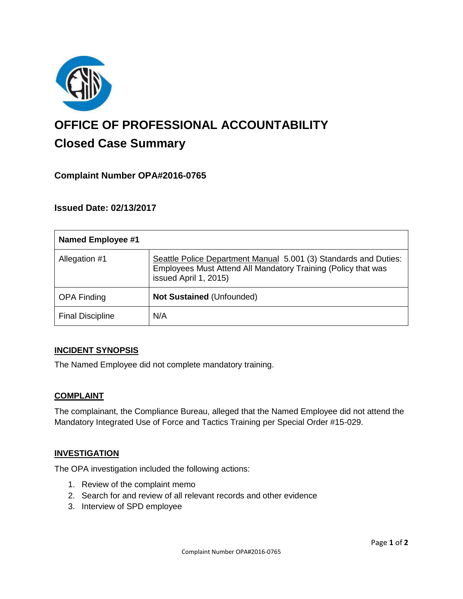

# **OFFICE OF PROFESSIONAL ACCOUNTABILITY Closed Case Summary**

## **Complaint Number OPA#2016-0765**

### **Issued Date: 02/13/2017**

| <b>Named Employee #1</b> |                                                                                                                                                            |
|--------------------------|------------------------------------------------------------------------------------------------------------------------------------------------------------|
| Allegation #1            | Seattle Police Department Manual 5.001 (3) Standards and Duties:<br>Employees Must Attend All Mandatory Training (Policy that was<br>issued April 1, 2015) |
| <b>OPA Finding</b>       | Not Sustained (Unfounded)                                                                                                                                  |
| <b>Final Discipline</b>  | N/A                                                                                                                                                        |

#### **INCIDENT SYNOPSIS**

The Named Employee did not complete mandatory training.

#### **COMPLAINT**

The complainant, the Compliance Bureau, alleged that the Named Employee did not attend the Mandatory Integrated Use of Force and Tactics Training per Special Order #15-029.

#### **INVESTIGATION**

The OPA investigation included the following actions:

- 1. Review of the complaint memo
- 2. Search for and review of all relevant records and other evidence
- 3. Interview of SPD employee